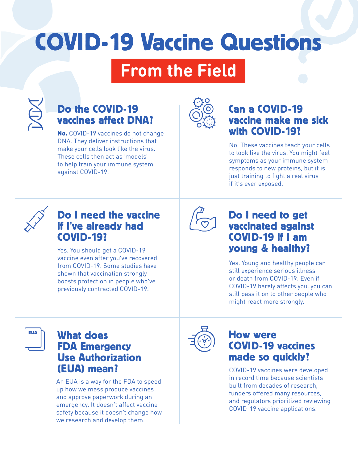# COVID-19 Vaccine Questions

## **From the Field**

### Do the COVID-19 vaccines affect DNA?

No. COVID-19 vaccines do not change DNA. They deliver instructions that make your cells look like the virus. These cells then act as 'models' to help train your immune system against COVID-19.



#### Can a COVID-19 vaccine make me sick with COVID-19?

No. These vaccines teach your cells to look like the virus. You might feel symptoms as your immune system responds to new proteins, but it is just training to fight a real virus if it's ever exposed.



#### Do I need the vaccine if I've already had COVID-19?

Yes. You should get a COVID-19 vaccine even after you've recovered from COVID-19. Some studies have shown that vaccination strongly boosts protection in people who've previously contracted COVID-19.



#### Do I need to get vaccinated against COVID-19 if I am young & healthy?

Yes. Young and healthy people can still experience serious illness or death from COVID-19. Even if COVID-19 barely affects you, you can still pass it on to other people who might react more strongly.



#### What does FDA Emergency Use Authorization (EUA) mean?

An EUA is a way for the FDA to speed up how we mass produce vaccines and approve paperwork during an emergency. It doesn't affect vaccine safety because it doesn't change how we research and develop them.



#### How were COVID-19 vaccines made so quickly?

COVID-19 vaccines were developed in record time because scientists built from decades of research, funders offered many resources, and regulators prioritized reviewing COVID-19 vaccine applications.